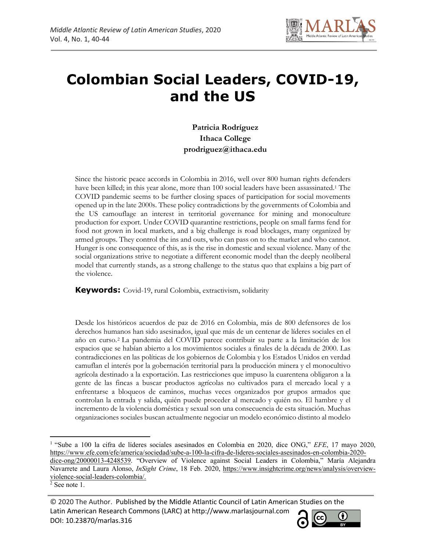

# **Colombian Social Leaders, COVID-19, and the US**

**Patricia Rodríguez Ithaca College prodriguez@ithaca.edu**

Since the historic peace accords in Colombia in 2016, well over 800 human rights defenders have been killed; in this year alone, more than 100 social leaders have been assassinated.1 The COVID pandemic seems to be further closing spaces of participation for social movements opened up in the late 2000s. These policy contradictions by the governments of Colombia and the US camouflage an interest in territorial governance for mining and monoculture production for export. Under COVID quarantine restrictions, people on small farms fend for food not grown in local markets, and a big challenge is road blockages, many organized by armed groups. They control the ins and outs, who can pass on to the market and who cannot. Hunger is one consequence of this, as is the rise in domestic and sexual violence. Many of the social organizations strive to negotiate a different economic model than the deeply neoliberal model that currently stands, as a strong challenge to the status quo that explains a big part of the violence.

**Keywords:** Covid-19, rural Colombia, extractivism, solidarity

Desde los históricos acuerdos de paz de 2016 en Colombia, más de 800 defensores de los derechos humanos han sido asesinados, igual que más de un centenar de líderes sociales en el año en curso.2 La pandemia del COVID parece contribuir su parte a la limitación de los espacios que se habían abierto a los movimientos sociales a finales de la década de 2000. Las contradicciones en las políticas de los gobiernos de Colombia y los Estados Unidos en verdad camuflan el interés por la gobernación territorial para la producción minera y el monocultivo agrícola destinado a la exportación. Las restricciones que impuso la cuarentena obligaron a la gente de las fincas a buscar productos agrícolas no cultivados para el mercado local y a enfrentarse a bloqueos de caminos, muchas veces organizados por grupos armados que controlan la entrada y salida, quién puede proceder al mercado y quién no. El hambre y el incremento de la violencia doméstica y sexual son una consecuencia de esta situación. Muchas organizaciones sociales buscan actualmente negociar un modelo económico distinto al modelo

<sup>© 2020</sup> The Author. Published by the Middle Atlantic Council of Latin American Studies on the Latin American Research Commons (LARC) at http://www.marlasjournal.com **CC** DOI: 10.23870/marlas.316



<sup>1</sup> "Sube a 100 la cifra de líderes sociales asesinados en Colombia en 2020, dice ONG," *EFE*, 17 mayo 2020, https://www.efe.com/efe/america/sociedad/sube-a-100-la-cifra-de-lideres-sociales-asesinados-en-colombia-2020 dice-ong/20000013-4248539. "Overview of Violence against Social Leaders in Colombia," María Alejandra Navarrete and Laura Alonso, *InSight Crime*, 18 Feb. 2020, https://www.insightcrime.org/news/analysis/overviewviolence-social-leaders-colombia/.

<sup>2</sup> See note 1.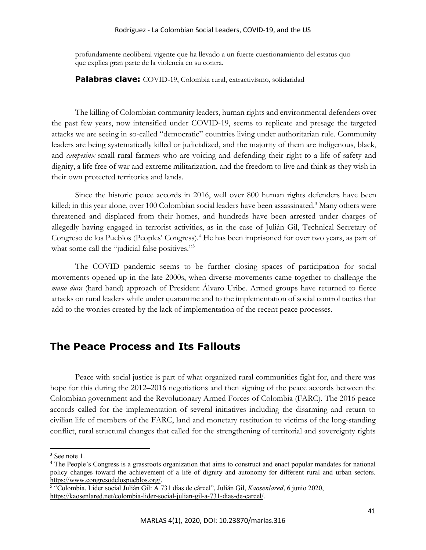#### Rodríguez - La Colombian Social Leaders, COVID-19, and the US

profundamente neoliberal vigente que ha llevado a un fuerte cuestionamiento del estatus quo que explica gran parte de la violencia en su contra.

**Palabras clave:** COVID-19, Colombia rural, extractivismo, solidaridad

The killing of Colombian community leaders, human rights and environmental defenders over the past few years, now intensified under COVID-19, seems to replicate and presage the targeted attacks we are seeing in so-called "democratic" countries living under authoritarian rule. Community leaders are being systematically killed or judicialized, and the majority of them are indigenous, black, and *campesinx* small rural farmers who are voicing and defending their right to a life of safety and dignity, a life free of war and extreme militarization, and the freedom to live and think as they wish in their own protected territories and lands.

Since the historic peace accords in 2016, well over 800 human rights defenders have been killed; in this year alone, over 100 Colombian social leaders have been assassinated.<sup>3</sup> Many others were threatened and displaced from their homes, and hundreds have been arrested under charges of allegedly having engaged in terrorist activities, as in the case of Julián Gil, Technical Secretary of Congreso de los Pueblos (Peoples' Congress).<sup>4</sup> He has been imprisoned for over two years, as part of what some call the "judicial false positives."<sup>5</sup>

The COVID pandemic seems to be further closing spaces of participation for social movements opened up in the late 2000s, when diverse movements came together to challenge the *mano dura* (hard hand) approach of President Álvaro Uribe. Armed groups have returned to fierce attacks on rural leaders while under quarantine and to the implementation of social control tactics that add to the worries created by the lack of implementation of the recent peace processes.

### **The Peace Process and Its Fallouts**

Peace with social justice is part of what organized rural communities fight for, and there was hope for this during the 2012–2016 negotiations and then signing of the peace accords between the Colombian government and the Revolutionary Armed Forces of Colombia (FARC). The 2016 peace accords called for the implementation of several initiatives including the disarming and return to civilian life of members of the FARC, land and monetary restitution to victims of the long-standing conflict, rural structural changes that called for the strengthening of territorial and sovereignty rights

 $3$  See note 1.

<sup>4</sup> The People's Congress is a grassroots organization that aims to construct and enact popular mandates for national policy changes toward the achievement of a life of dignity and autonomy for different rural and urban sectors. https://www.congresodelospueblos.org/.

<sup>5</sup> "Colombia. Líder social Julián Gil: A 731 días de cárcel", Julián Gil, *Kaosenlared*, 6 junio 2020, https://kaosenlared.net/colombia-lider-social-julian-gil-a-731-dias-de-carcel/.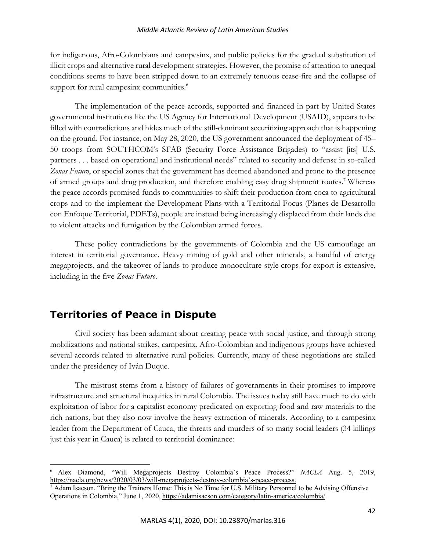#### *Middle Atlantic Review of Latin American Studies*

for indigenous, Afro-Colombians and campesinx, and public policies for the gradual substitution of illicit crops and alternative rural development strategies. However, the promise of attention to unequal conditions seems to have been stripped down to an extremely tenuous cease-fire and the collapse of support for rural campesinx communities.<sup>6</sup>

The implementation of the peace accords, supported and financed in part by United States governmental institutions like the US Agency for International Development (USAID), appears to be filled with contradictions and hides much of the still-dominant securitizing approach that is happening on the ground. For instance, on May 28, 2020, the US government announced the deployment of 45– 50 troops from SOUTHCOM's SFAB (Security Force Assistance Brigades) to "assist [its] U.S. partners . . . based on operational and institutional needs" related to security and defense in so-called *Zonas Futuro*, or special zones that the government has deemed abandoned and prone to the presence of armed groups and drug production, and therefore enabling easy drug shipment routes.<sup>7</sup> Whereas the peace accords promised funds to communities to shift their production from coca to agricultural crops and to the implement the Development Plans with a Territorial Focus (Planes de Desarrollo con Enfoque Territorial, PDETs), people are instead being increasingly displaced from their lands due to violent attacks and fumigation by the Colombian armed forces.

These policy contradictions by the governments of Colombia and the US camouflage an interest in territorial governance. Heavy mining of gold and other minerals, a handful of energy megaprojects, and the takeover of lands to produce monoculture-style crops for export is extensive, including in the five *Zonas Futuro*.

## **Territories of Peace in Dispute**

Civil society has been adamant about creating peace with social justice, and through strong mobilizations and national strikes, campesinx, Afro-Colombian and indigenous groups have achieved several accords related to alternative rural policies. Currently, many of these negotiations are stalled under the presidency of Iván Duque.

The mistrust stems from a history of failures of governments in their promises to improve infrastructure and structural inequities in rural Colombia. The issues today still have much to do with exploitation of labor for a capitalist economy predicated on exporting food and raw materials to the rich nations, but they also now involve the heavy extraction of minerals. According to a campesinx leader from the Department of Cauca, the threats and murders of so many social leaders (34 killings just this year in Cauca) is related to territorial dominance:

<sup>6</sup> Alex Diamond, "Will Megaprojects Destroy Colombia's Peace Process?" *NACLA* Aug. 5, 2019, https://nacla.org/news/2020/03/03/will-megaprojects-destroy-colombia's-peace-process.

 $^7$  Adam Isacson, "Bring the Trainers Home: This is No Time for U.S. Military Personnel to be Advising Offensive Operations in Colombia," June 1, 2020, https://adamisacson.com/category/latin-america/colombia/.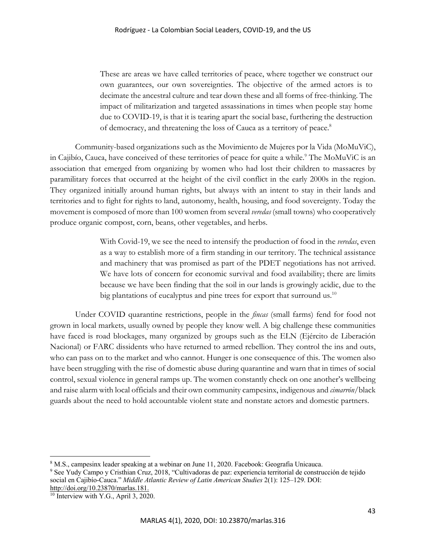These are areas we have called territories of peace, where together we construct our own guarantees, our own sovereignties. The objective of the armed actors is to decimate the ancestral culture and tear down these and all forms of free-thinking. The impact of militarization and targeted assassinations in times when people stay home due to COVID-19, is that it is tearing apart the social base, furthering the destruction of democracy, and threatening the loss of Cauca as a territory of peace.<sup>8</sup>

Community-based organizations such as the Movimiento de Mujeres por la Vida (MoMuViC), in Cajibío, Cauca, have conceived of these territories of peace for quite a while.<sup>9</sup> The MoMuViC is an association that emerged from organizing by women who had lost their children to massacres by paramilitary forces that occurred at the height of the civil conflict in the early 2000s in the region. They organized initially around human rights, but always with an intent to stay in their lands and territories and to fight for rights to land, autonomy, health, housing, and food sovereignty. Today the movement is composed of more than 100 women from several *veredas* (small towns) who cooperatively produce organic compost, corn, beans, other vegetables, and herbs.

> With Covid-19, we see the need to intensify the production of food in the *veredas*, even as a way to establish more of a firm standing in our territory. The technical assistance and machinery that was promised as part of the PDET negotiations has not arrived. We have lots of concern for economic survival and food availability; there are limits because we have been finding that the soil in our lands is growingly acidic, due to the big plantations of eucalyptus and pine trees for export that surround us.<sup>10</sup>

Under COVID quarantine restrictions, people in the *fincas* (small farms) fend for food not grown in local markets, usually owned by people they know well. A big challenge these communities have faced is road blockages, many organized by groups such as the ELN (Ejército de Liberación Nacional) or FARC dissidents who have returned to armed rebellion. They control the ins and outs, who can pass on to the market and who cannot. Hunger is one consequence of this. The women also have been struggling with the rise of domestic abuse during quarantine and warn that in times of social control, sexual violence in general ramps up. The women constantly check on one another's wellbeing and raise alarm with local officials and their own community campesinx, indigenous and *cimarrón*/black guards about the need to hold accountable violent state and nonstate actors and domestic partners.

<sup>8</sup> M.S., campesinx leader speaking at a webinar on June 11, 2020. Facebook: Geografia Unicauca.

<sup>9</sup> See Yudy Campo y Cristhian Cruz, 2018, "Cultivadoras de paz: experiencia territorial de construcción de tejido social en Cajibío-Cauca." *Middle Atlantic Review of Latin American Studies* 2(1): 125–129. DOI:

http://doi.org/10.23870/marlas.181.

<sup>&</sup>lt;sup>10</sup> Interview with Y.G., April 3, 2020.